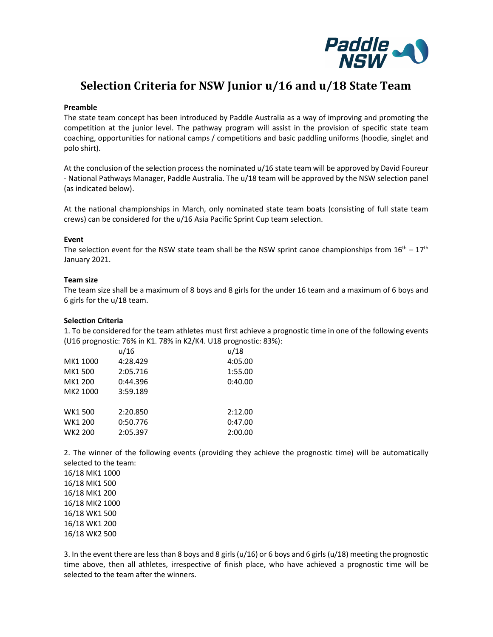

# Selection Criteria for NSW Junior u/16 and u/18 State Team

#### Preamble

The state team concept has been introduced by Paddle Australia as a way of improving and promoting the competition at the junior level. The pathway program will assist in the provision of specific state team coaching, opportunities for national camps / competitions and basic paddling uniforms (hoodie, singlet and polo shirt).

At the conclusion of the selection process the nominated u/16 state team will be approved by David Foureur - National Pathways Manager, Paddle Australia. The u/18 team will be approved by the NSW selection panel (as indicated below).

At the national championships in March, only nominated state team boats (consisting of full state team crews) can be considered for the u/16 Asia Pacific Sprint Cup team selection.

#### Event

The selection event for the NSW state team shall be the NSW sprint canoe championships from  $16<sup>th</sup> - 17<sup>th</sup>$ January 2021.

#### Team size

The team size shall be a maximum of 8 boys and 8 girls for the under 16 team and a maximum of 6 boys and 6 girls for the u/18 team.

### Selection Criteria

1. To be considered for the team athletes must first achieve a prognostic time in one of the following events (U16 prognostic: 76% in K1. 78% in K2/K4. U18 prognostic: 83%):

|          | u/16     | u/18    |  |
|----------|----------|---------|--|
| MK1 1000 | 4:28.429 | 4:05.00 |  |
| MK1 500  | 2:05.716 | 1:55.00 |  |
| MK1 200  | 0:44.396 | 0:40.00 |  |
| MK2 1000 | 3:59.189 |         |  |
| WK1 500  | 2:20.850 | 2:12.00 |  |
| WK1 200  | 0:50.776 | 0:47.00 |  |
| WK2 200  | 2:05.397 | 2:00.00 |  |

2. The winner of the following events (providing they achieve the prognostic time) will be automatically selected to the team:

16/18 MK1 1000 16/18 MK1 500 16/18 MK1 200 16/18 MK2 1000 16/18 WK1 500 16/18 WK1 200 16/18 WK2 500

3. In the event there are less than 8 boys and 8 girls (u/16) or 6 boys and 6 girls (u/18) meeting the prognostic time above, then all athletes, irrespective of finish place, who have achieved a prognostic time will be selected to the team after the winners.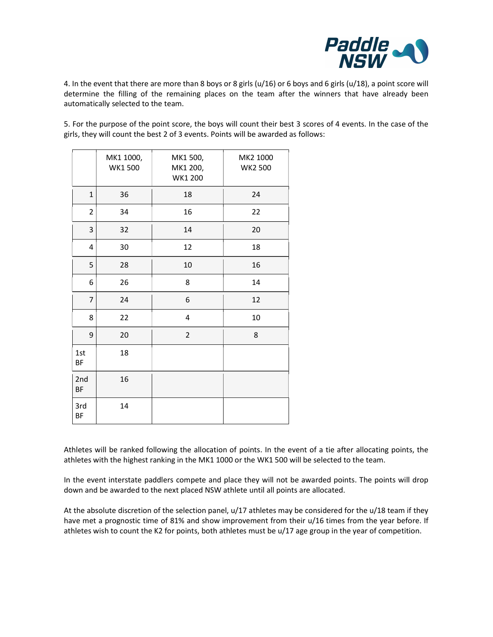

4. In the event that there are more than 8 boys or 8 girls (u/16) or 6 boys and 6 girls (u/18), a point score will determine the filling of the remaining places on the team after the winners that have already been automatically selected to the team.

5. For the purpose of the point score, the boys will count their best 3 scores of 4 events. In the case of the girls, they will count the best 2 of 3 events. Points will be awarded as follows:

| MK1 1000,<br>MK1 500,<br>MK2 1000<br>WK1500<br><b>WK2 500</b><br>MK1 200,<br>WK1 200<br>$\mathbf{1}$<br>36<br>$18\,$<br>24<br>$\overline{2}$<br>34<br>16<br>22<br>$\overline{3}$<br>$20\,$<br>32<br>14<br>30<br>18<br>12<br>$\overline{\mathbf{4}}$<br>5<br>28<br>$16\,$<br>$10\,$<br>8<br>26<br>6<br>14<br>$\overline{7}$<br>24<br>6<br>12<br>$10\,$<br>8<br>22<br>$\pmb{4}$<br>9<br>20<br>$\overline{2}$<br>8<br>18<br>$1st$<br>BF<br>2nd<br>16<br>BF<br>3rd<br>14<br>BF |
|----------------------------------------------------------------------------------------------------------------------------------------------------------------------------------------------------------------------------------------------------------------------------------------------------------------------------------------------------------------------------------------------------------------------------------------------------------------------------|
|                                                                                                                                                                                                                                                                                                                                                                                                                                                                            |
|                                                                                                                                                                                                                                                                                                                                                                                                                                                                            |
|                                                                                                                                                                                                                                                                                                                                                                                                                                                                            |
|                                                                                                                                                                                                                                                                                                                                                                                                                                                                            |
|                                                                                                                                                                                                                                                                                                                                                                                                                                                                            |
|                                                                                                                                                                                                                                                                                                                                                                                                                                                                            |
|                                                                                                                                                                                                                                                                                                                                                                                                                                                                            |
|                                                                                                                                                                                                                                                                                                                                                                                                                                                                            |
|                                                                                                                                                                                                                                                                                                                                                                                                                                                                            |
|                                                                                                                                                                                                                                                                                                                                                                                                                                                                            |
|                                                                                                                                                                                                                                                                                                                                                                                                                                                                            |
|                                                                                                                                                                                                                                                                                                                                                                                                                                                                            |
|                                                                                                                                                                                                                                                                                                                                                                                                                                                                            |

Athletes will be ranked following the allocation of points. In the event of a tie after allocating points, the athletes with the highest ranking in the MK1 1000 or the WK1 500 will be selected to the team.

In the event interstate paddlers compete and place they will not be awarded points. The points will drop down and be awarded to the next placed NSW athlete until all points are allocated.

At the absolute discretion of the selection panel, u/17 athletes may be considered for the u/18 team if they have met a prognostic time of 81% and show improvement from their u/16 times from the year before. If athletes wish to count the K2 for points, both athletes must be u/17 age group in the year of competition.